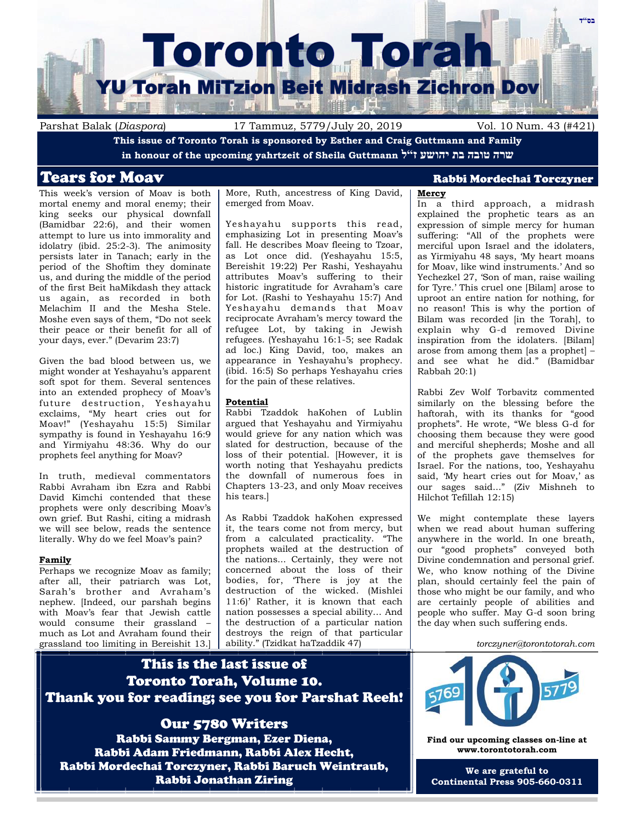

Parshat Balak (*Diaspora*) 17 Tammuz, 5779/July 20, 2019 Vol. 10 Num. 43 (#421)

**This issue of Toronto Torah is sponsored by Esther and Craig Guttmann and Family in honour of the upcoming yahrtzeit of Sheila Guttmann ל"ז יהושע בת טובה שרה**

This week's version of Moav is both mortal enemy and moral enemy; their king seeks our physical downfall (Bamidbar 22:6), and their women attempt to lure us into immorality and idolatry (ibid. 25:2-3). The animosity persists later in Tanach; early in the period of the Shoftim they dominate us, and during the middle of the period of the first Beit haMikdash they attack us again, as recorded in both Melachim II and the Mesha Stele. Moshe even says of them, "Do not seek their peace or their benefit for all of your days, ever." (Devarim 23:7)

Given the bad blood between us, we might wonder at Yeshayahu's apparent soft spot for them. Several sentences into an extended prophecy of Moav's future destruction, Yeshayahu exclaims, "My heart cries out for Moav!" (Yeshayahu 15:5) Similar sympathy is found in Yeshayahu 16:9 and Yirmiyahu 48:36. Why do our prophets feel anything for Moav?

In truth, medieval commentators Rabbi Avraham ibn Ezra and Rabbi David Kimchi contended that these prophets were only describing Moav's own grief. But Rashi, citing a midrash we will see below, reads the sentence literally. Why do we feel Moav's pain?

#### **Family**

Perhaps we recognize Moav as family; after all, their patriarch was Lot, Sarah's brother and Avraham's nephew. [Indeed, our parshah begins with Moav's fear that Jewish cattle would consume their grassland – much as Lot and Avraham found their grassland too limiting in Bereishit 13.] More, Ruth, ancestress of King David, emerged from Moav.

Yeshayahu supports this read, emphasizing Lot in presenting Moav's fall. He describes Moav fleeing to Tzoar, as Lot once did. (Yeshayahu 15:5, Bereishit 19:22) Per Rashi, Yeshayahu attributes Moav's suffering to their historic ingratitude for Avraham's care for Lot. (Rashi to Yeshayahu 15:7) And Yeshayahu demands that Moav reciprocate Avraham's mercy toward the refugee Lot, by taking in Jewish refugees. (Yeshayahu 16:1-5; see Radak ad loc.) King David, too, makes an appearance in Yeshayahu's prophecy. (ibid. 16:5) So perhaps Yeshayahu cries for the pain of these relatives.

#### **Potential**

Rabbi Tzaddok haKohen of Lublin argued that Yeshayahu and Yirmiyahu would grieve for any nation which was slated for destruction, because of the loss of their potential. [However, it is worth noting that Yeshayahu predicts the downfall of numerous foes in Chapters 13-23, and only Moav receives his tears.]

As Rabbi Tzaddok haKohen expressed it, the tears come not from mercy, but from a calculated practicality. "The prophets wailed at the destruction of the nations... Certainly, they were not concerned about the loss of their bodies, for, 'There is joy at the destruction of the wicked. (Mishlei 11:6)' Rather, it is known that each nation possesses a special ability… And the destruction of a particular nation destroys the reign of that particular ability." (Tzidkat haTzaddik 47)

# Tears for Moav Rabbi Mordechai Torczyner

# **Mercy**

In a third approach, a midrash explained the prophetic tears as an expression of simple mercy for human suffering: "All of the prophets were merciful upon Israel and the idolaters, as Yirmiyahu 48 says, 'My heart moans for Moav, like wind instruments.' And so Yechezkel 27, 'Son of man, raise wailing for Tyre.' This cruel one [Bilam] arose to uproot an entire nation for nothing, for no reason! This is why the portion of Bilam was recorded [in the Torah], to explain why G-d removed Divine inspiration from the idolaters. [Bilam] arose from among them [as a prophet] – and see what he did." (Bamidbar Rabbah 20:1)

Rabbi Zev Wolf Torbavitz commented similarly on the blessing before the haftorah, with its thanks for "good prophets". He wrote, "We bless G-d for choosing them because they were good and merciful shepherds; Moshe and all of the prophets gave themselves for Israel. For the nations, too, Yeshayahu said, 'My heart cries out for Moav,' as our sages said..." (Ziv Mishneh to Hilchot Tefillah 12:15)

We might contemplate these layers when we read about human suffering anywhere in the world. In one breath, our "good prophets" conveyed both Divine condemnation and personal grief. We, who know nothing of the Divine plan, should certainly feel the pain of those who might be our family, and who are certainly people of abilities and people who suffer. May G-d soon bring the day when such suffering ends.

#### *torczyner@torontotorah.com*

# This is the last issue of Toronto Torah, Volume 10. Thank you for reading; see you for Parshat Reeh!

Our 5780 Writers Rabbi Sammy Bergman, Ezer Diena, Rabbi Adam Friedmann, Rabbi Alex Hecht, Rabbi Mordechai Torczyner, Rabbi Baruch Weintraub, Rabbi Jonathan Ziring



**Find our upcoming classes on-line at www.torontotorah.com**

**We are grateful to Continental Press 905-660-0311**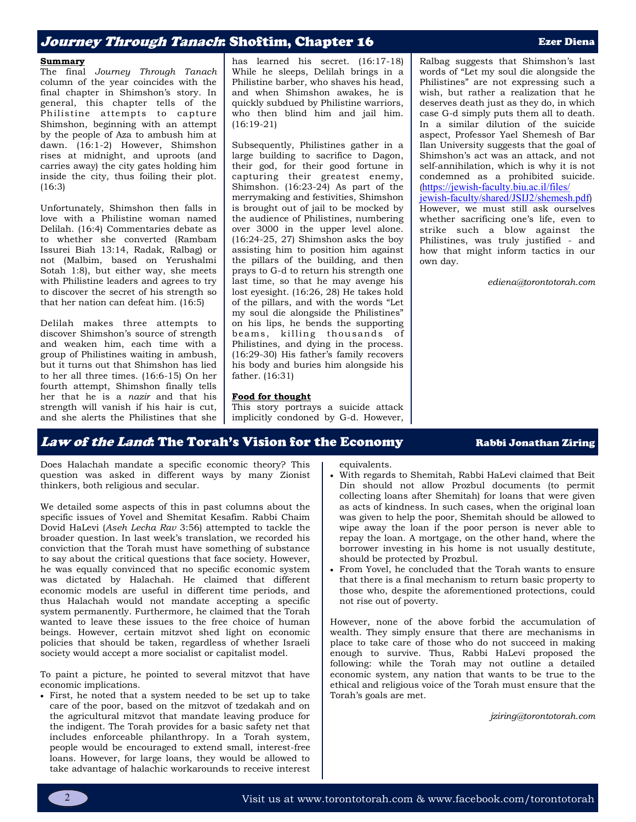# Journey *Through Tanach*: Shoftim, Chapter 16 **Exer Diena** Ezer Diena

#### **Summary**

The final *Journey Through Tanach* column of the year coincides with the final chapter in Shimshon's story. In general, this chapter tells of the Philistine attempts to capture Shimshon, beginning with an attempt by the people of Aza to ambush him at dawn. (16:1-2) However, Shimshon rises at midnight, and uproots (and carries away) the city gates holding him inside the city, thus foiling their plot. (16:3)

Unfortunately, Shimshon then falls in love with a Philistine woman named Delilah. (16:4) Commentaries debate as to whether she converted (Rambam Issurei Biah 13:14, Radak, Ralbag) or not (Malbim, based on Yerushalmi Sotah 1:8), but either way, she meets with Philistine leaders and agrees to try to discover the secret of his strength so that her nation can defeat him. (16:5)

Delilah makes three attempts to discover Shimshon's source of strength and weaken him, each time with a group of Philistines waiting in ambush, but it turns out that Shimshon has lied to her all three times. (16:6-15) On her fourth attempt, Shimshon finally tells her that he is a *nazir* and that his strength will vanish if his hair is cut, and she alerts the Philistines that she has learned his secret. (16:17-18) While he sleeps, Delilah brings in a Philistine barber, who shaves his head, and when Shimshon awakes, he is quickly subdued by Philistine warriors, who then blind him and jail him. (16:19-21)

Subsequently, Philistines gather in a large building to sacrifice to Dagon, their god, for their good fortune in capturing their greatest enemy, Shimshon. (16:23-24) As part of the merrymaking and festivities, Shimshon is brought out of jail to be mocked by the audience of Philistines, numbering over 3000 in the upper level alone. (16:24-25, 27) Shimshon asks the boy assisting him to position him against the pillars of the building, and then prays to G-d to return his strength one last time, so that he may avenge his lost eyesight. (16:26, 28) He takes hold of the pillars, and with the words "Let my soul die alongside the Philistines" on his lips, he bends the supporting beams, killing thousands of Philistines, and dying in the process. (16:29-30) His father's family recovers his body and buries him alongside his father. (16:31)

#### **Food for thought**

This story portrays a suicide attack implicitly condoned by G-d. However, Ralbag suggests that Shimshon's last words of "Let my soul die alongside the Philistines" are not expressing such a wish, but rather a realization that he deserves death just as they do, in which case G-d simply puts them all to death. In a similar dilution of the suicide aspect, Professor Yael Shemesh of Bar Ilan University suggests that the goal of Shimshon's act was an attack, and not self-annihilation, which is why it is not condemned as a prohibited suicide. ([https://jewish-faculty.biu.ac.il/files/](https://jewish-faculty.biu.ac.il/files/jewish-faculty/shared/JSIJ2/shemesh.pdf) [jewish-faculty/shared/JSIJ2/shemesh.pdf](https://jewish-faculty.biu.ac.il/files/jewish-faculty/shared/JSIJ2/shemesh.pdf)) However, we must still ask ourselves whether sacrificing one's life, even to strike such a blow against the Philistines, was truly justified - and

how that might inform tactics in our

own day.

*ediena@torontotorah.com*

# Law of the Land: The Torah's Vision for the Economy Rabbi Jonathan Ziring

Does Halachah mandate a specific economic theory? This question was asked in different ways by many Zionist thinkers, both religious and secular.

We detailed some aspects of this in past columns about the specific issues of Yovel and Shemitat Kesafim. Rabbi Chaim Dovid HaLevi (*Aseh Lecha Rav* 3:56) attempted to tackle the broader question. In last week's translation, we recorded his conviction that the Torah must have something of substance to say about the critical questions that face society. However, he was equally convinced that no specific economic system was dictated by Halachah. He claimed that different economic models are useful in different time periods, and thus Halachah would not mandate accepting a specific system permanently. Furthermore, he claimed that the Torah wanted to leave these issues to the free choice of human beings. However, certain mitzvot shed light on economic policies that should be taken, regardless of whether Israeli society would accept a more socialist or capitalist model.

To paint a picture, he pointed to several mitzvot that have economic implications.

• First, he noted that a system needed to be set up to take care of the poor, based on the mitzvot of tzedakah and on the agricultural mitzvot that mandate leaving produce for the indigent. The Torah provides for a basic safety net that includes enforceable philanthropy. In a Torah system, people would be encouraged to extend small, interest-free loans. However, for large loans, they would be allowed to take advantage of halachic workarounds to receive interest equivalents.

- With regards to Shemitah, Rabbi HaLevi claimed that Beit Din should not allow Prozbul documents (to permit collecting loans after Shemitah) for loans that were given as acts of kindness. In such cases, when the original loan was given to help the poor, Shemitah should be allowed to wipe away the loan if the poor person is never able to repay the loan. A mortgage, on the other hand, where the borrower investing in his home is not usually destitute, should be protected by Prozbul.
- From Yovel, he concluded that the Torah wants to ensure that there is a final mechanism to return basic property to those who, despite the aforementioned protections, could not rise out of poverty.

However, none of the above forbid the accumulation of wealth. They simply ensure that there are mechanisms in place to take care of those who do not succeed in making enough to survive. Thus, Rabbi HaLevi proposed the following: while the Torah may not outline a detailed economic system, any nation that wants to be true to the ethical and religious voice of the Torah must ensure that the Torah's goals are met.

*jziring@torontotorah.com*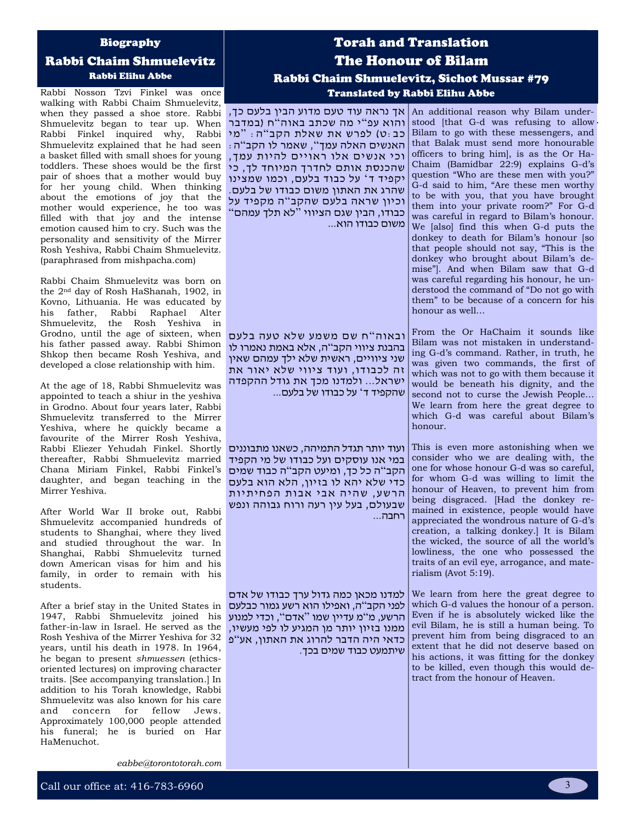#### Biography

### Rabbi Chaim Shmuelevitz Rabbi Elihu Abbe

Rabbi Nosson Tzvi Finkel was once walking with Rabbi Chaim Shmuelevitz, when they passed a shoe store. Rabbi | אך נראה עוד טעם מדוע הבין בלעם כך, an additional reason why Bilam under-Shmuelevitz began to tear up. When Rabbi Finkel inquired why, Rabbi Shmuelevitz explained that he had seen a basket filled with small shoes for young toddlers. These shoes would be the first pair of shoes that a mother would buy for her young child. When thinking about the emotions of joy that the mother would experience, he too was filled with that joy and the intense emotion caused him to cry. Such was the personality and sensitivity of the Mirrer Rosh Yeshiva, Rabbi Chaim Shmuelevitz. (paraphrased from mishpacha.com)

Rabbi Chaim Shmuelevitz was born on the 2nd day of Rosh HaShanah, 1902, in Kovno, Lithuania. He was educated by his father, Rabbi Raphael Alter Shmuelevitz, the Rosh Yeshiva in Grodno, until the age of sixteen, when his father passed away. Rabbi Shimon Shkop then became Rosh Yeshiva, and developed a close relationship with him.

At the age of 18, Rabbi Shmuelevitz was appointed to teach a shiur in the yeshiva in Grodno. About four years later, Rabbi Shmuelevitz transferred to the Mirrer Yeshiva, where he quickly became a favourite of the Mirrer Rosh Yeshiva, Rabbi Eliezer Yehudah Finkel. Shortly thereafter, Rabbi Shmuelevitz married Chana Miriam Finkel, Rabbi Finkel's daughter, and began teaching in the Mirrer Yeshiva.

After World War II broke out, Rabbi Shmuelevitz accompanied hundreds of students to Shanghai, where they lived and studied throughout the war. In Shanghai, Rabbi Shmuelevitz turned down American visas for him and his family, in order to remain with his students.

After a brief stay in the United States in 1947, Rabbi Shmuelevitz joined his father-in-law in Israel. He served as the Rosh Yeshiva of the Mirrer Yeshiva for 32 כדאי היה הדבר להרוג את האתון, אע " פ years, until his death in 1978. In 1964, he began to present *shmuessen* (ethicsoriented lectures) on improving character traits. [See accompanying translation.] In addition to his Torah knowledge, Rabbi Shmuelevitz was also known for his care and concern for fellow Jews. Approximately 100,000 people attended his funeral; he is buried on Har HaMenuchot.

# Torah and Translation The Honour of Bilam Rabbi Chaim Shmuelevitz, Sichot Mussar #79 Translated by Rabbi Elihu Abbe

והוא עפ"י מה שכתב באוה"ח (במדבר כב:ט) לפרש את שאלת הקב"ה: "מי האנשים האלה עמך ", שאמר לו הקב " ה: וכי אנשים אלו ראויים להיות עמך, שהכנסת אותם לחדרך המיוחד לך, כי יקפיד ד ' על כבוד בלעם, וכמו שמצינו שהרג את האתון משום כבודו של בלעם. וכיון שראה בלעם שהקב"ה מקפיד על כבודו, הבין שגם הציווי " לא תלך עמהם " משום כבודו הוא...

ובאוה " ח שם משמע שלא טעה בלעם בהבנת ציווי הקב"ה, אלא באמת נאמרו לו שני ציוויים, ראשית שלא ילך עמהם שאין זה לכבודו, ועוד ציווי שלא יאור את ישראל... ולמדנו מכך את גודל ההקפדה שהקפיד ד' על כבודו של בלעם...

ועוד יותר תגדל התמיהה, כשאנו מתבוננים במי אנו עוסקים ועל כבודו של מי הקפיד הקב"ה כל כך, ומיעט הקב"ה כבוד שמים כדי שלא יהא לו בזיון, הלא הוא בלעם הרשע, שהיה אבי אבות הפחיתיות שבעולם, בעל עין רעה ורוח גבוהה ונפש רחבה...

למדנו מכאן כמה גדול ערך כבודו של אדם לפני הקב"ה, ואפילו הוא רשע גמור כבלעם הרשע, מ " מ עדיין שמו " אדם ", וכדי למנוע ממנו בזיון יותר מן המגיע לו לפי מעשיו, שיתמעט כבוד שמים בכך.

stood [that G-d was refusing to allow Bilam to go with these messengers, and that Balak must send more honourable officers to bring him], is as the Or Ha-Chaim (Bamidbar 22:9) explains G-d's question "Who are these men with you?" G-d said to him, "Are these men worthy to be with you, that you have brought them into your private room?" For G-d was careful in regard to Bilam's honour. We [also] find this when G-d puts the donkey to death for Bilam's honour [so that people should not say, "This is the donkey who brought about Bilam's demise"]. And when Bilam saw that G-d was careful regarding his honour, he understood the command of "Do not go with them" to be because of a concern for his honour as well…

From the Or HaChaim it sounds like Bilam was not mistaken in understanding G-d's command. Rather, in truth, he was given two commands, the first of which was not to go with them because it would be beneath his dignity, and the second not to curse the Jewish People… We learn from here the great degree to which G-d was careful about Bilam's honour.

This is even more astonishing when we consider who we are dealing with, the one for whose honour G-d was so careful, for whom G-d was willing to limit the honour of Heaven, to prevent him from being disgraced. [Had the donkey remained in existence, people would have appreciated the wondrous nature of G-d's creation, a talking donkey.] It is Bilam the wicked, the source of all the world's lowliness, the one who possessed the traits of an evil eye, arrogance, and materialism (Avot 5:19).

We learn from here the great degree to which G-d values the honour of a person. Even if he is absolutely wicked like the evil Bilam, he is still a human being. To prevent him from being disgraced to an extent that he did not deserve based on his actions, it was fitting for the donkey to be killed, even though this would detract from the honour of Heaven.

*eabbe@torontotorah.com*